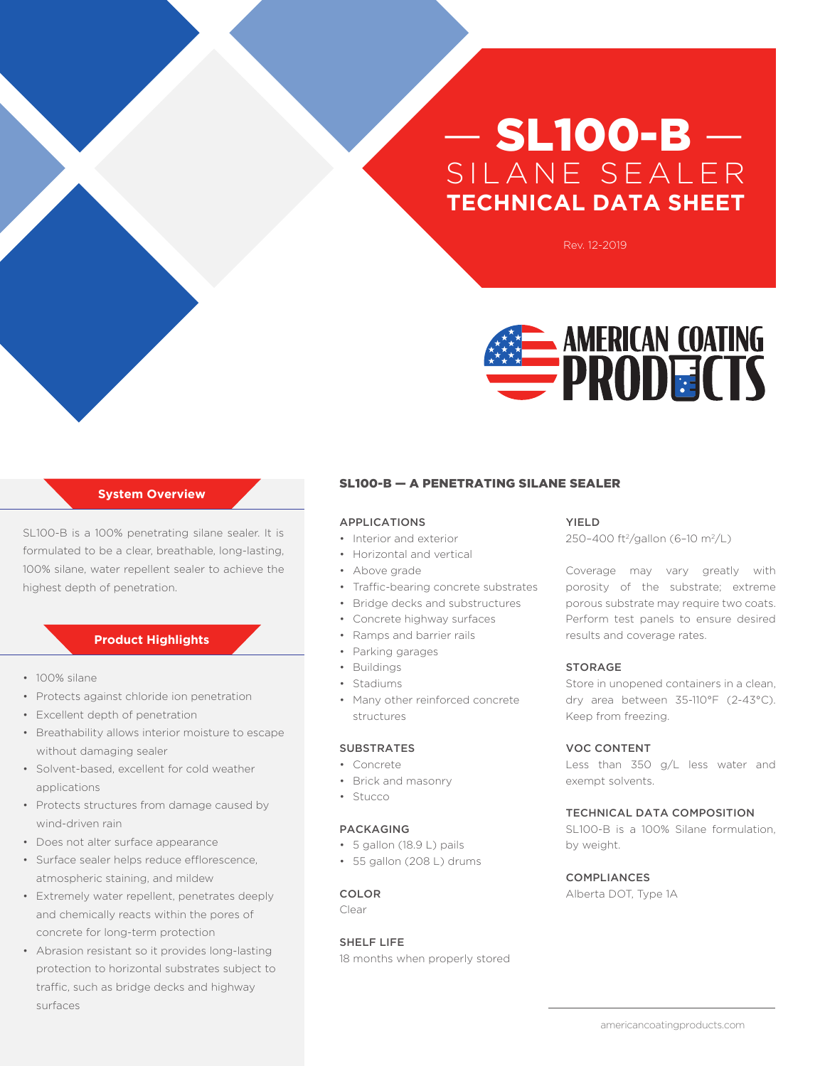# — SL100-B — SILANE SEALER **TECHNICAL DATA SHEET**

Rev. 12-2019



# **System Overview**

SL100-B is a 100% penetrating silane sealer. It is formulated to be a clear, breathable, long-lasting, 100% silane, water repellent sealer to achieve the highest depth of penetration.

# **Product Highlights**

- 100% silane
- Protects against chloride ion penetration
- Excellent depth of penetration
- Breathability allows interior moisture to escape without damaging sealer
- Solvent-based, excellent for cold weather applications
- Protects structures from damage caused by wind-driven rain
- Does not alter surface appearance
- Surface sealer helps reduce efflorescence, atmospheric staining, and mildew
- Extremely water repellent, penetrates deeply and chemically reacts within the pores of concrete for long-term protection
- Abrasion resistant so it provides long-lasting protection to horizontal substrates subject to traffic, such as bridge decks and highway surfaces

# SL100-B — A PENETRATING SILANE SEALER

### APPLICATIONS

- Interior and exterior
- Horizontal and vertical
- Above grade
- Traffic-bearing concrete substrates
- Bridge decks and substructures
- Concrete highway surfaces
- Ramps and barrier rails
- Parking garages
- Buildings
- Stadiums
- Many other reinforced concrete structures

# **SUBSTRATES**

- Concrete
- Brick and masonry
- Stucco

# PACKAGING

- 5 gallon (18.9 L) pails
- 55 gallon (208 L) drums

# COLOR

Clear

# SHELF LIFE

18 months when properly stored

#### YIELD

250-400 ft<sup>2</sup>/gallon (6-10 m<sup>2</sup>/L)

Coverage may vary greatly with porosity of the substrate; extreme porous substrate may require two coats. Perform test panels to ensure desired results and coverage rates.

#### STORAGE

Store in unopened containers in a clean, dry area between 35-110°F (2-43°C). Keep from freezing.

# VOC CONTENT

Less than 350 g/L less water and exempt solvents.

# TECHNICAL DATA COMPOSITION

SL100-B is a 100% Silane formulation, by weight.

#### COMPLIANCES

Alberta DOT, Type 1A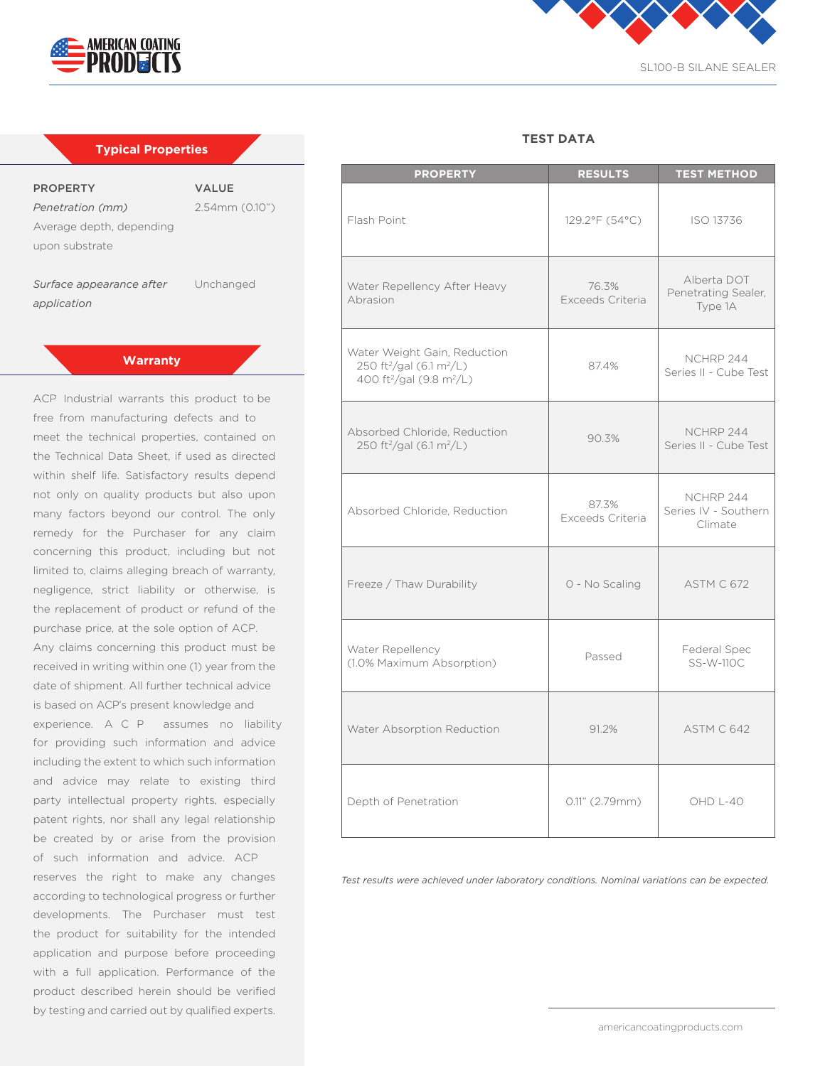

| <b>Typical Properties</b> |                     |  |
|---------------------------|---------------------|--|
|                           |                     |  |
| <b>PROPERTY</b>           | <b>VALUE</b>        |  |
| Penetration (mm)          | $2.54$ mm $(0.10")$ |  |
| Average depth, depending  |                     |  |
| upon substrate            |                     |  |
|                           |                     |  |
|                           |                     |  |

**Surface appearance after** Unchanged *application*

# **Warranty**

ACP Industrial warrants this product to be free from manufacturing defects and to meet the technical properties, contained on the Technical Data Sheet, if used as directed within shelf life. Satisfactory results depend not only on quality products but also upon many factors beyond our control. The only remedy for the Purchaser for any claim concerning this product, including but not limited to, claims alleging breach of warranty, negligence, strict liability or otherwise, is the replacement of product or refund of the purchase price, at the sole option of ACP. Any claims concerning this product must be received in writing within one (1) year from the date of shipment. All further technical advice is based on ACP's present knowledge and experience. A C P assumes no liability for providing such information and advice including the extent to which such information and advice may relate to existing third party intellectual property rights, especially patent rights, nor shall any legal relationship be created by or arise from the provision of such information and advice. ACP reserves the right to make any changes according to technological progress or further developments. The Purchaser must test the product for suitability for the intended application and purpose before proceeding with a full application. Performance of the product described herein should be verified by testing and carried out by qualified experts.



SL100-B SILANE SEALER

# **TEST DATA**

| <b>PROPERTY</b>                                                                                                                      | <b>RESULTS</b>            | <b>TEST METHOD</b>                            |
|--------------------------------------------------------------------------------------------------------------------------------------|---------------------------|-----------------------------------------------|
| Flash Point                                                                                                                          | 129.2°F (54°C)            | ISO 13736                                     |
| Water Repellency After Heavy<br>Abrasion                                                                                             | 76.3%<br>Exceeds Criteria | Alberta DOT<br>Penetrating Sealer,<br>Type 1A |
| Water Weight Gain, Reduction<br>250 ft <sup>2</sup> /gal (6.1 m <sup>2</sup> /L)<br>400 ft <sup>2</sup> /gal (9.8 m <sup>2</sup> /L) | 87.4%                     | NCHRP 244<br>Series II - Cube Test            |
| Absorbed Chloride, Reduction<br>250 ft <sup>2</sup> /gal (6.1 m <sup>2</sup> /L)                                                     | 90.3%                     | NCHRP 244<br>Series II - Cube Test            |
| Absorbed Chloride, Reduction                                                                                                         | 87.3%<br>Exceeds Criteria | NCHRP 244<br>Series IV - Southern<br>Climate  |
| Freeze / Thaw Durability                                                                                                             | 0 - No Scaling            | ASTM C 672                                    |
| Water Repellency<br>(1.0% Maximum Absorption)                                                                                        | Passed                    | Federal Spec<br>SS-W-110C                     |
| Water Absorption Reduction                                                                                                           | 91.2%                     | ASTM C 642                                    |
| Depth of Penetration                                                                                                                 | $0.11"$ (2.79mm)          | OHD L-40                                      |

*Test results were achieved under laboratory conditions. Nominal variations can be expected.*